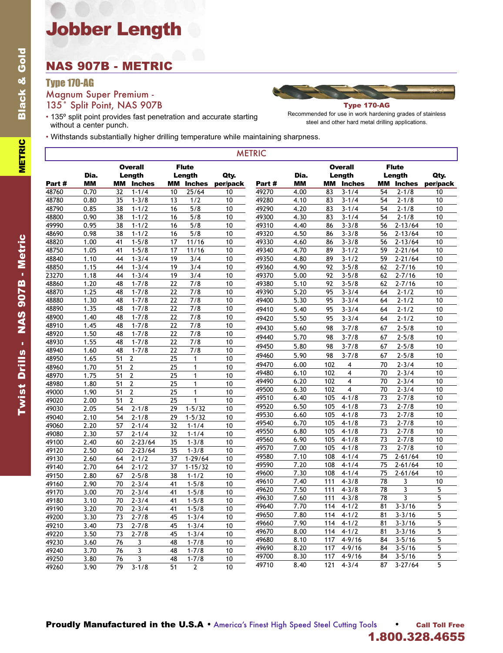# Jobber Length

### NAS 907B - METRIC

#### Type 170-AG

Magnum Super Premium - 135° Split Point, NAS 907B



• 135º split point provides fast penetration and accurate starting without a center punch.

Recommended for use in work hardening grades of stainless steel and other hard metal drilling applications.

• Withstands substantially higher drilling temperature while maintaining sharpness.

| <b>METRIC</b> |           |                               |    |                        |          |       |           |                          |                        |               |          |
|---------------|-----------|-------------------------------|----|------------------------|----------|-------|-----------|--------------------------|------------------------|---------------|----------|
|               | Dia.      | <b>Overall</b><br>Length      |    | <b>Flute</b><br>Length | Qty.     |       | Dia.      | <b>Overall</b><br>Length | <b>Flute</b><br>Length |               | Qty.     |
| Part #        | <b>MM</b> | MМ<br><b>Inches</b>           | MМ | <b>Inches</b>          | per/pack | Part# | <b>MM</b> | <b>Inches</b><br>MМ      | <b>MM</b>              | <b>Inches</b> | per/pack |
| 48760         | 0.70      | 32<br>$1 - 1/4$               | 10 | 25/64                  | 10       | 49270 | 4.00      | 83<br>$3 - 1/4$          | 54                     | $2 - 1/8$     | 10       |
| 48780         | 0.80      | $1 - 3/8$<br>35               | 13 | 1/2                    | 10       | 49280 | 4.10      | $3 - 1/4$<br>83          | 54                     | $2 - 1/8$     | 10       |
| 48790         | 0.85      | 38<br>$1 - 1/2$               | 16 | 5/8                    | 10       | 49290 | 4.20      | $3 - 1/4$<br>83          | 54                     | $2 - 1/8$     | 10       |
| 48800         | 0.90      | 38<br>$1 - 1/2$               | 16 | 5/8                    | 10       | 49300 | 4.30      | $3 - 1/4$<br>83          | 54                     | $2 - 1/8$     | 10       |
| 49990         | 0.95      | 38<br>$1 - 1/2$               | 16 | 5/8                    | 10       | 49310 | 4.40      | $3 - 3/8$<br>86          | 56                     | $2 - 13/64$   | 10       |
| 48690         | 0.98      | 38<br>$1 - 1/2$               | 16 | 5/8                    | 10       | 49320 | 4.50      | 86<br>$3 - 3/8$          | 56                     | $2 - 13/64$   | 10       |
| 48820         | 1.00      | $1 - 5/8$<br>41               | 17 | 11/16                  | 10       | 49330 | 4.60      | 86<br>$3 - 3/8$          | 56                     | $2 - 13/64$   | 10       |
| 48750         | 1.05      | 41<br>$1 - 5/8$               | 17 | 11/16                  | 10       | 49340 | 4.70      | 89<br>$3 - 1/2$          | 59                     | $2 - 21/64$   | 10       |
| 48840         | 1.10      | 44<br>$1 - 3/4$               | 19 | 3/4                    | 10       | 49350 | 4.80      | 89<br>$3 - 1/2$          | 59                     | $2 - 21/64$   | 10       |
| 48850         | 1.15      | 44<br>$1 - 3/4$               | 19 | 3/4                    | 10       | 49360 | 4.90      | $3 - 5/8$<br>92          | 62                     | $2 - 7/16$    | 10       |
| 23270         | 1.18      | $1 - 3/4$<br>44               | 19 | 3/4                    | 10       | 49370 | 5.00      | 92<br>$3 - 5/8$          | 62                     | $2 - 7/16$    | 10       |
| 48860         | 1.20      | 48<br>$1 - 7/8$               | 22 | 7/8                    | 10       | 49380 | 5.10      | 92<br>$3 - 5/8$          | 62                     | $2 - 7/16$    | 10       |
| 48870         | 1.25      | $1 - 7/8$<br>48               | 22 | 7/8                    | 10       | 49390 | 5.20      | 95<br>$3 - 3/4$          | 64                     | $2 - 1/2$     | 10       |
| 48880         | 1.30      | 48<br>$1 - 7/8$               | 22 | 7/8                    | 10       | 49400 | 5.30      | 95<br>$3 - 3/4$          | 64                     | $2 - 1/2$     | 10       |
| 48890         | 1.35      | $1 - 7/8$<br>48               | 22 | 7/8                    | 10       | 49410 | 5.40      | 95<br>$3 - 3/4$          | 64                     | $2 - 1/2$     | 10       |
| 48900         | 1.40      | 48<br>$1 - 7/8$               | 22 | 7/8                    | 10       | 49420 | 5.50      | $3 - 3/4$<br>95          | 64                     | $2 - 1/2$     | 10       |
| 48910         | 1.45      | 48<br>$1 - 7/8$               | 22 | 7/8                    | 10       | 49430 | 5.60      | 98<br>$3 - 7/8$          | 67                     | $2 - 5/8$     | 10       |
| 48920         | 1.50      | 48<br>$1 - 7/8$               | 22 | 7/8                    | 10       | 49440 | 5.70      | $3 - 7/8$<br>98          | 67                     | $2 - 5/8$     | 10       |
| 48930         | 1.55      | $1 - 7/8$<br>48               | 22 | 7/8                    | 10       | 49450 | 5.80      | 98<br>$3 - 7/8$          | 67                     | $2 - 5/8$     | 10       |
| 48940         | 1.60      | 48<br>$1 - 7/8$               | 22 | 7/8                    | 10       |       | 5.90      | 98<br>$3 - 7/8$          | 67                     | $2 - 5/8$     | 10       |
| 48950         | 1.65      | $\overline{2}$<br>51          | 25 | $\mathbf{1}$           | 10       | 49460 |           |                          |                        |               |          |
| 48960         | 1.70      | $\overline{2}$<br>51          | 25 | $\mathbf{1}$           | 10       | 49470 | 6.00      | 102<br>4                 | 70                     | $2 - 3/4$     | 10       |
| 48970         | 1.75      | $\overline{2}$<br>51          | 25 | $\mathbf{1}$           | 10       | 49480 | 6.10      | $\overline{4}$<br>102    | 70                     | $2 - 3/4$     | 10       |
| 48980         | 1.80      | 51<br>2                       | 25 | $\mathbf{1}$           | 10       | 49490 | 6.20      | 4<br>102                 | 70                     | $2 - 3/4$     | 10       |
| 49000         | 1.90      | 51<br>$\mathbf{2}$            | 25 | $\mathbf{1}$           | 10       | 49500 | 6.30      | 4<br>102                 | 70                     | $2 - 3/4$     | 10       |
| 49020         | 2.00      | 51<br>$\overline{\mathbf{c}}$ | 25 | $\mathbf{1}$           | 10       | 49510 | 6.40      | $4 - 1/8$<br>105         | 73                     | $2 - 7/8$     | 10       |
| 49030         | 2.05      | $2 - 1/8$<br>54               | 29 | $1 - 5/32$             | 10       | 49520 | 6.50      | 105<br>$4 - 1/8$         | 73                     | $2 - 7/8$     | 10       |
| 49040         | 2.10      | 54<br>$2 - 1/8$               | 29 | $1 - 5/32$             | 10       | 49530 | 6.60      | $4 - 1/8$<br>105         | 73                     | $2 - 7/8$     | 10       |
| 49060         | 2.20      | $2 - 1/4$<br>57               | 32 | $1 - 1/4$              | 10       | 49540 | 6.70      | 105<br>$4 - 1/8$         | 73                     | $2 - 7/8$     | 10       |
| 49080         | 2.30      | 57<br>$2 - 1/4$               | 32 | $1 - 1/4$              | 10       | 49550 | 6.80      | $4 - 1/8$<br>105         | 73                     | $2 - 7/8$     | 10       |
| 49100         | 2.40      | $2 - 23/64$<br>60             | 35 | $1 - 3/8$              | 10       | 49560 | 6.90      | $4 - 1/8$<br>105         | 73                     | $2 - 7/8$     | 10       |
| 49120         | 2.50      | 60<br>$2 - 23/64$             | 35 | $1 - 3/8$              | 10       | 49570 | 7.00      | $4 - 1/8$<br>105         | 73                     | $2 - 7/8$     | 10       |
| 49130         | 2.60      | 64<br>$2 - 1/2$               | 37 | $1 - 29/64$            | 10       | 49580 | 7.10      | 108<br>$4 - 1/4$         | 75                     | $2 - 61/64$   | 10       |
| 49140         | 2.70      | $2 - 1/2$<br>64               | 37 | $1 - 15/32$            | 10       | 49590 | 7.20      | 108<br>$4 - 1/4$         | 75                     | $2 - 61/64$   | 10       |
| 49150         | 2.80      | $2 - 5/8$<br>67               | 38 | $1 - 1/2$              | 10       | 49600 | 7.30      | 108<br>$4 - 1/4$         | 75                     | $2 - 61/64$   | 10       |
| 49160         | 2.90      | 70<br>$2 - 3/4$               | 41 | $1 - 5/8$              | 10       | 49610 | 7.40      | $4 - 3/8$<br>111         | 78                     | 3             | 10       |
| 49170         | 3.00      | $2 - 3/4$<br>70               | 41 | $1 - 5/8$              | 10       | 49620 | 7.50      | $4 - 3/8$<br>111         | 78                     | 3             | 5        |
| 49180         | 3.10      | 70<br>$2 - 3/4$               | 41 | $1 - 5/8$              | 10       | 49630 | 7.60      | $4 - 3/8$<br>111         | 78                     | 3             | 5        |
| 49190         | 3.20      | 70<br>$2 - 3/4$               | 41 | $1 - 5/8$              | 10       | 49640 | 7.70      | 114<br>$4 - 1/2$         | 81                     | $3 - 3/16$    | 5        |
| 49200         | 3.30      | 73<br>$2 - 7/8$               | 45 | $1 - 3/4$              | 10       | 49650 | 7.80      | 114<br>$4 - 1/2$         | 81                     | $3 - 3/16$    | 5        |
| 49210         | 3.40      | 73<br>$2 - 7/8$               | 45 | $1 - 3/4$              | 10       | 49660 | 7.90      | 114<br>$4 - 1/2$         | 81                     | $3 - 3/16$    | 5        |
| 49220         | 3.50      | 73<br>$2 - 7/8$               | 45 | $1 - 3/4$              | 10       | 49670 | 8.00      | 114<br>$4 - 1/2$         | 81                     | $3 - 3/16$    | 5        |
| 49230         | 3.60      | 76<br>3                       | 48 | $1 - 7/8$              | 10       | 49680 | 8.10      | 117<br>$4 - 9/16$        | 84                     | $3 - 5/16$    | 5        |
| 49240         | 3.70      | 76<br>3                       | 48 | $1 - 7/8$              | 10       | 49690 | 8.20      | 117<br>$4 - 9/16$        | 84                     | $3 - 5/16$    | 5        |
| 49250         | 3.80      | 3<br>76                       | 48 | $1 - 7/8$              | 10       | 49700 | 8.30      | $4 - 9/16$<br>117        | 84                     | $3 - 5/16$    | 5        |
| 49260         | 3.90      | 79<br>$3 - 1/8$               | 51 | $\overline{2}$         | 10       | 49710 | 8.40      | $4 - 3/4$<br>121         | 87                     | $3 - 27/64$   | 5        |